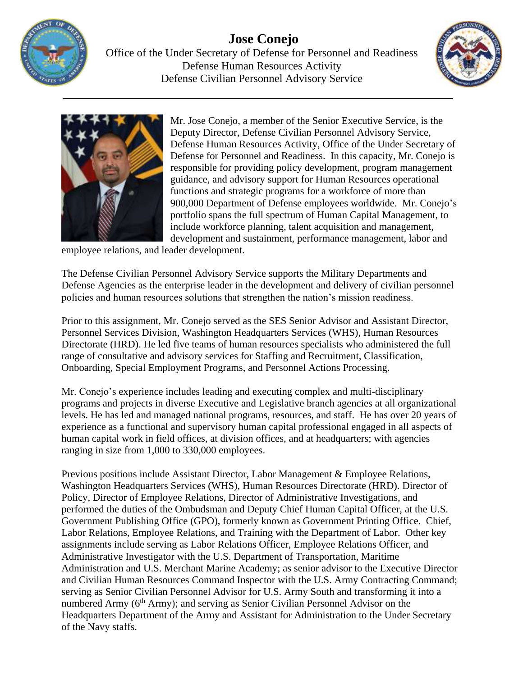

**Jose Conejo** Office of the Under Secretary of Defense for Personnel and Readiness Defense Human Resources Activity Defense Civilian Personnel Advisory Service





Mr. Jose Conejo, a member of the Senior Executive Service, is the Deputy Director, Defense Civilian Personnel Advisory Service, Defense Human Resources Activity, Office of the Under Secretary of Defense for Personnel and Readiness. In this capacity, Mr. Conejo is responsible for providing policy development, program management guidance, and advisory support for Human Resources operational functions and strategic programs for a workforce of more than 900,000 Department of Defense employees worldwide. Mr. Conejo's portfolio spans the full spectrum of Human Capital Management, to include workforce planning, talent acquisition and management, development and sustainment, performance management, labor and

employee relations, and leader development.

The Defense Civilian Personnel Advisory Service supports the Military Departments and Defense Agencies as the enterprise leader in the development and delivery of civilian personnel policies and human resources solutions that strengthen the nation's mission readiness.

Prior to this assignment, Mr. Conejo served as the SES Senior Advisor and Assistant Director, Personnel Services Division, Washington Headquarters Services (WHS), Human Resources Directorate (HRD). He led five teams of human resources specialists who administered the full range of consultative and advisory services for Staffing and Recruitment, Classification, Onboarding, Special Employment Programs, and Personnel Actions Processing.

Mr. Conejo's experience includes leading and executing complex and multi-disciplinary programs and projects in diverse Executive and Legislative branch agencies at all organizational levels. He has led and managed national programs, resources, and staff. He has over 20 years of experience as a functional and supervisory human capital professional engaged in all aspects of human capital work in field offices, at division offices, and at headquarters; with agencies ranging in size from 1,000 to 330,000 employees.

Previous positions include Assistant Director, Labor Management & Employee Relations, Washington Headquarters Services (WHS), Human Resources Directorate (HRD). Director of Policy, Director of Employee Relations, Director of Administrative Investigations, and performed the duties of the Ombudsman and Deputy Chief Human Capital Officer, at the U.S. Government Publishing Office (GPO), formerly known as Government Printing Office. Chief, Labor Relations, Employee Relations, and Training with the Department of Labor. Other key assignments include serving as Labor Relations Officer, Employee Relations Officer, and Administrative Investigator with the U.S. Department of Transportation, Maritime Administration and U.S. Merchant Marine Academy; as senior advisor to the Executive Director and Civilian Human Resources Command Inspector with the U.S. Army Contracting Command; serving as Senior Civilian Personnel Advisor for U.S. Army South and transforming it into a numbered Army (6<sup>th</sup> Army); and serving as Senior Civilian Personnel Advisor on the Headquarters Department of the Army and Assistant for Administration to the Under Secretary of the Navy staffs.